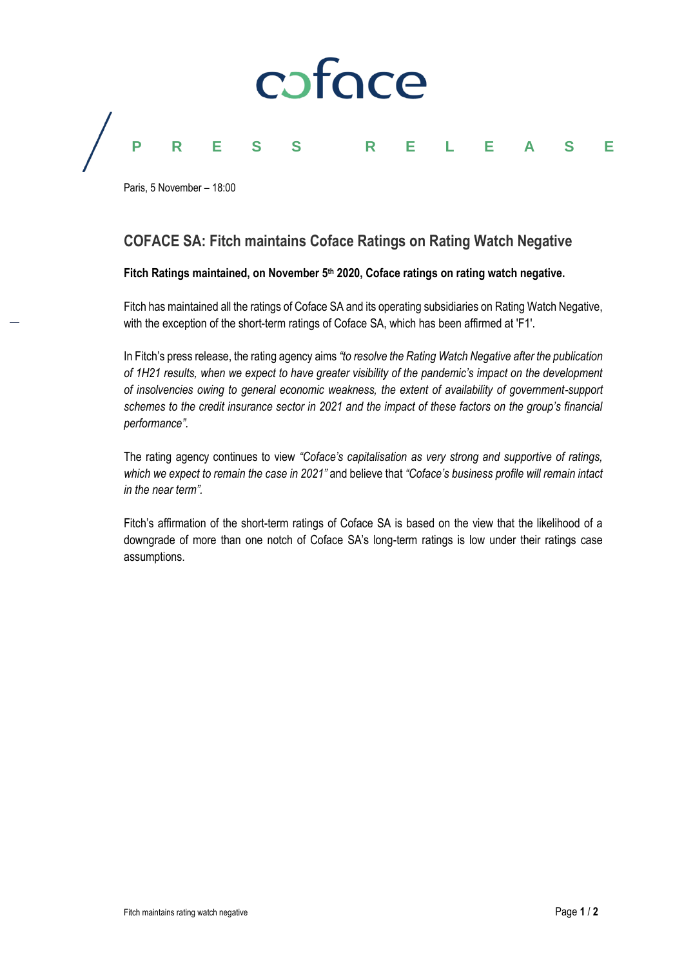

Paris, 5 November – 18:00

# **COFACE SA: Fitch maintains Coface Ratings on Rating Watch Negative**

## **Fitch Ratings maintained, on November 5th 2020, Coface ratings on rating watch negative.**

Fitch has maintained all the ratings of Coface SA and its operating subsidiaries on Rating Watch Negative, with the exception of the short-term ratings of Coface SA, which has been affirmed at 'F1'.

In Fitch's press release, the rating agency aims *"to resolve the Rating Watch Negative after the publication of 1H21 results, when we expect to have greater visibility of the pandemic's impact on the development of insolvencies owing to general economic weakness, the extent of availability of government-support schemes to the credit insurance sector in 2021 and the impact of these factors on the group's financial performance".*

The rating agency continues to view *"Coface's capitalisation as very strong and supportive of ratings, which we expect to remain the case in 2021"* and believe that *"Coface's business profile will remain intact in the near term".*

Fitch's affirmation of the short-term ratings of Coface SA is based on the view that the likelihood of a downgrade of more than one notch of Coface SA's long-term ratings is low under their ratings case assumptions.